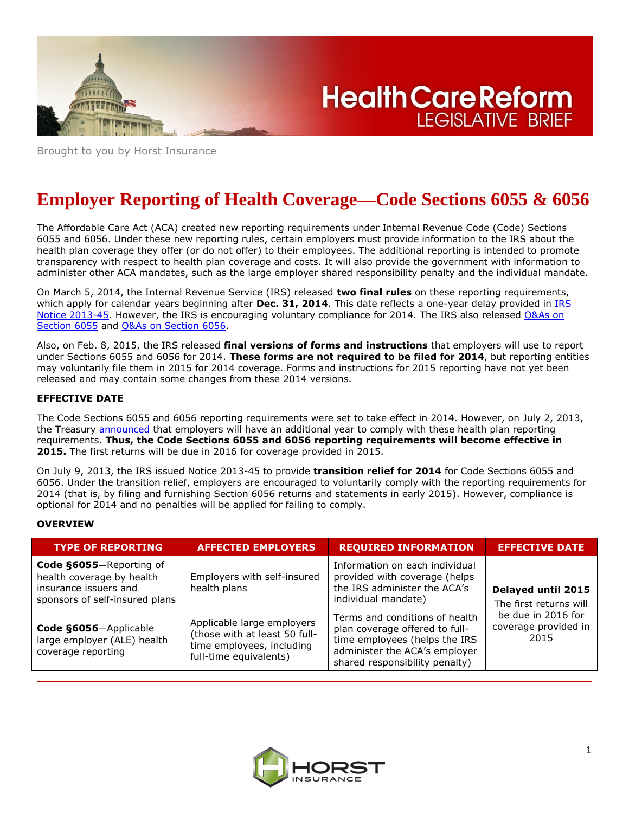

**Health Care Reform LEGISLATIVE BRIEF** 

Brought to you by Horst Insurance

# **Employer Reporting of Health Coverage—Code Sections 6055 & 6056**

The Affordable Care Act (ACA) created new reporting requirements under Internal Revenue Code (Code) Sections 6055 and 6056. Under these new reporting rules, certain employers must provide information to the IRS about the health plan coverage they offer (or do not offer) to their employees. The additional reporting is intended to promote transparency with respect to health plan coverage and costs. It will also provide the government with information to administer other ACA mandates, such as the large employer shared responsibility penalty and the individual mandate.

On March 5, 2014, the Internal Revenue Service (IRS) released **two final rules** on these reporting requirements, which apply for calendar years beginning after **Dec. 31, 2014**. This date reflects a one-year delay provided in [IRS](http://www.irs.gov/pub/irs-drop/n-13-45.PDF)  [Notice 2013-45.](http://www.irs.gov/pub/irs-drop/n-13-45.PDF) However, the IRS is encouraging voluntary compliance for 2014. The IRS also released Q&As on [Section 6055](http://www.irs.gov/uac/Questions-and-Answers-on-Information-Reporting-by-Health-Coverage-Providers-Section-6055) and [Q&As on Section 6056.](http://www.irs.gov/uac/Questions-and-Answers-on-Reporting-of-Offers-of-Health-Insurance-Coverage-by-Employers-Section-6056)

Also, on Feb. 8, 2015, the IRS released **final versions of forms and instructions** that employers will use to report under Sections 6055 and 6056 for 2014. **These forms are not required to be filed for 2014**, but reporting entities may voluntarily file them in 2015 for 2014 coverage. Forms and instructions for 2015 reporting have not yet been released and may contain some changes from these 2014 versions.

# **EFFECTIVE DATE**

The Code Sections 6055 and 6056 reporting requirements were set to take effect in 2014. However, on July 2, 2013, the Treasury **announced** that employers will have an additional year to comply with these health plan reporting requirements. **Thus, the Code Sections 6055 and 6056 reporting requirements will become effective in 2015.** The first returns will be due in 2016 for coverage provided in 2015.

On July 9, 2013, the IRS issued Notice 2013-45 to provide **transition relief for 2014** for Code Sections 6055 and 6056. Under the transition relief, employers are encouraged to voluntarily comply with the reporting requirements for 2014 (that is, by filing and furnishing Section 6056 returns and statements in early 2015). However, compliance is optional for 2014 and no penalties will be applied for failing to comply.

# **OVERVIEW**

| <b>TYPE OF REPORTING</b>                                                                                        | <b>AFFECTED EMPLOYERS</b>                                                                                          | <b>REQUIRED INFORMATION</b>                                                                                                                                          | <b>EFFECTIVE DATE</b>                              |
|-----------------------------------------------------------------------------------------------------------------|--------------------------------------------------------------------------------------------------------------------|----------------------------------------------------------------------------------------------------------------------------------------------------------------------|----------------------------------------------------|
| Code §6055-Reporting of<br>health coverage by health<br>insurance issuers and<br>sponsors of self-insured plans | Employers with self-insured<br>health plans                                                                        | Information on each individual<br>provided with coverage (helps<br>the IRS administer the ACA's<br>individual mandate)                                               | Delayed until 2015<br>The first returns will       |
| Code §6056-Applicable<br>large employer (ALE) health<br>coverage reporting                                      | Applicable large employers<br>(those with at least 50 full-<br>time employees, including<br>full-time equivalents) | Terms and conditions of health<br>plan coverage offered to full-<br>time employees (helps the IRS<br>administer the ACA's employer<br>shared responsibility penalty) | be due in 2016 for<br>coverage provided in<br>2015 |

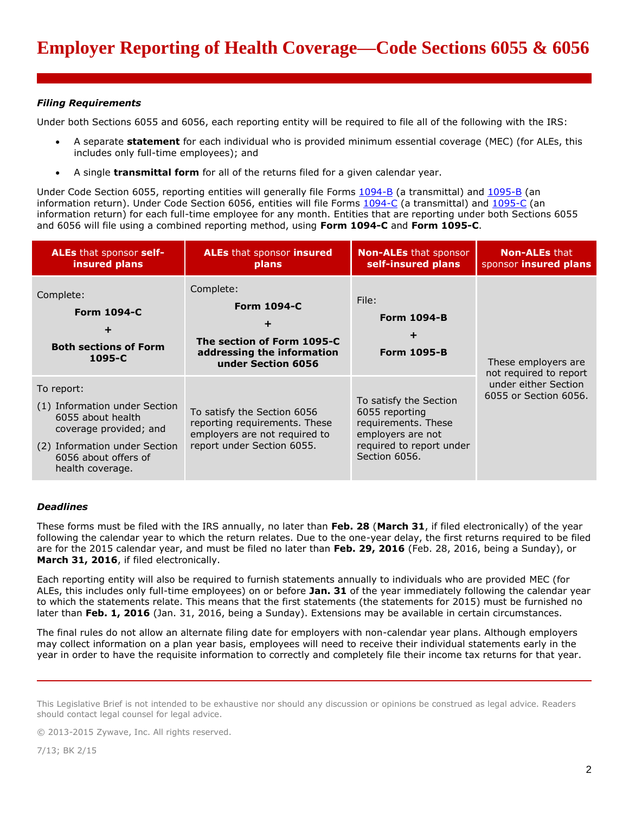# *Filing Requirements*

Under both Sections 6055 and 6056, each reporting entity will be required to file all of the following with the IRS:

- A separate **statement** for each individual who is provided minimum essential coverage (MEC) (for ALEs, this includes only full-time employees); and
- A single **transmittal form** for all of the returns filed for a given calendar year.

Under Code Section 6055, reporting entities will generally file Forms [1094-B](http://www.irs.gov/pub/irs-pdf/f1094b.pdf) (a transmittal) and [1095-B](http://www.irs.gov/pub/irs-pdf/f1095b.pdf) (an information return). Under Code Section 6056, entities will file Forms [1094-C](http://www.irs.gov/pub/irs-pdf/f1094c.pdf) (a transmittal) and [1095-C](http://www.irs.gov/pub/irs-pdf/f1095c.pdf) (an information return) for each full-time employee for any month. Entities that are reporting under both Sections 6055 and 6056 will file using a combined reporting method, using **Form 1094-C** and **Form 1095-C**.

| <b>ALEs that sponsor self-</b><br>insured plans                                                                                                                         | <b>ALEs</b> that sponsor <b>insured</b><br>plans                                                                            | <b>Non-ALEs</b> that sponsor<br>self-insured plans                                                                                | <b>Non-ALEs that</b><br>sponsor insured plans                                                  |
|-------------------------------------------------------------------------------------------------------------------------------------------------------------------------|-----------------------------------------------------------------------------------------------------------------------------|-----------------------------------------------------------------------------------------------------------------------------------|------------------------------------------------------------------------------------------------|
| Complete:<br><b>Form 1094-C</b><br><b>Both sections of Form</b><br>1095-C                                                                                               | Complete:<br><b>Form 1094-C</b><br>The section of Form 1095-C<br>addressing the information<br>under Section 6056           | File:<br><b>Form 1094-B</b><br>٠<br><b>Form 1095-B</b>                                                                            | These employers are<br>not required to report<br>under either Section<br>6055 or Section 6056. |
| To report:<br>(1) Information under Section<br>6055 about health<br>coverage provided; and<br>(2) Information under Section<br>6056 about offers of<br>health coverage. | To satisfy the Section 6056<br>reporting requirements. These<br>employers are not required to<br>report under Section 6055. | To satisfy the Section<br>6055 reporting<br>requirements. These<br>employers are not<br>required to report under<br>Section 6056. |                                                                                                |

# *Deadlines*

These forms must be filed with the IRS annually, no later than **Feb. 28** (**March 31**, if filed electronically) of the year following the calendar year to which the return relates. Due to the one-year delay, the first returns required to be filed are for the 2015 calendar year, and must be filed no later than **Feb. 29, 2016** (Feb. 28, 2016, being a Sunday), or **March 31, 2016**, if filed electronically.

Each reporting entity will also be required to furnish statements annually to individuals who are provided MEC (for ALEs, this includes only full-time employees) on or before **Jan. 31** of the year immediately following the calendar year to which the statements relate. This means that the first statements (the statements for 2015) must be furnished no later than **Feb. 1, 2016** (Jan. 31, 2016, being a Sunday). Extensions may be available in certain circumstances.

The final rules do not allow an alternate filing date for employers with non-calendar year plans. Although employers may collect information on a plan year basis, employees will need to receive their individual statements early in the year in order to have the requisite information to correctly and completely file their income tax returns for that year.

This Legislative Brief is not intended to be exhaustive nor should any discussion or opinions be construed as legal advice. Readers should contact legal counsel for legal advice.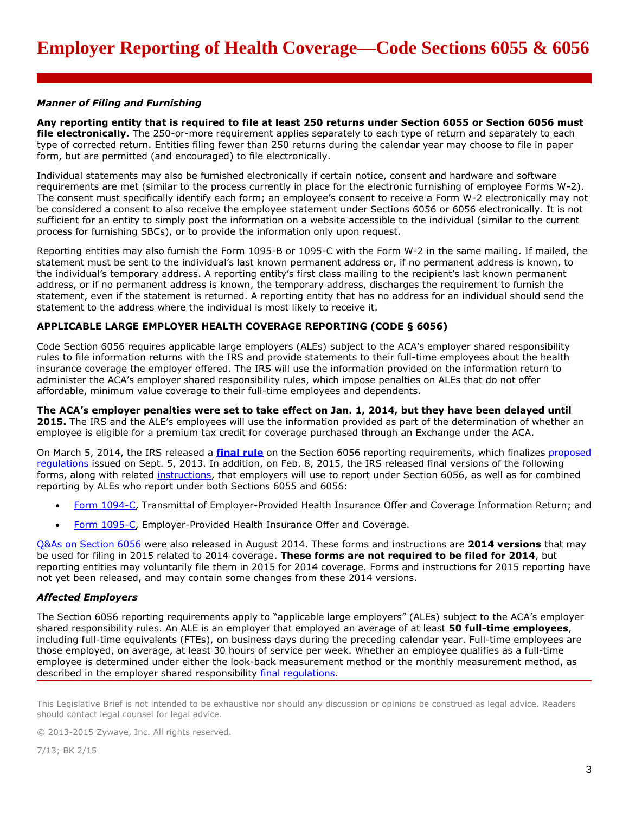### *Manner of Filing and Furnishing*

**Any reporting entity that is required to file at least 250 returns under Section 6055 or Section 6056 must file electronically**. The 250-or-more requirement applies separately to each type of return and separately to each type of corrected return. Entities filing fewer than 250 returns during the calendar year may choose to file in paper form, but are permitted (and encouraged) to file electronically.

Individual statements may also be furnished electronically if certain notice, consent and hardware and software requirements are met (similar to the process currently in place for the electronic furnishing of employee Forms W-2). The consent must specifically identify each form; an employee's consent to receive a Form W-2 electronically may not be considered a consent to also receive the employee statement under Sections 6056 or 6056 electronically. It is not sufficient for an entity to simply post the information on a website accessible to the individual (similar to the current process for furnishing SBCs), or to provide the information only upon request.

Reporting entities may also furnish the Form 1095-B or 1095-C with the Form W-2 in the same mailing. If mailed, the statement must be sent to the individual's last known permanent address or, if no permanent address is known, to the individual's temporary address. A reporting entity's first class mailing to the recipient's last known permanent address, or if no permanent address is known, the temporary address, discharges the requirement to furnish the statement, even if the statement is returned. A reporting entity that has no address for an individual should send the statement to the address where the individual is most likely to receive it.

# **APPLICABLE LARGE EMPLOYER HEALTH COVERAGE REPORTING (CODE § 6056)**

Code Section 6056 requires applicable large employers (ALEs) subject to the ACA's employer shared responsibility rules to file information returns with the IRS and provide statements to their full-time employees about the health insurance coverage the employer offered. The IRS will use the information provided on the information return to administer the ACA's employer shared responsibility rules, which impose penalties on ALEs that do not offer affordable, minimum value coverage to their full-time employees and dependents.

**The ACA's employer penalties were set to take effect on Jan. 1, 2014, but they have been delayed until 2015.** The IRS and the ALE's employees will use the information provided as part of the determination of whether an employee is eligible for a premium tax credit for coverage purchased through an Exchange under the ACA.

On March 5, 2014, the IRS released a **[final rule](https://www.federalregister.gov/articles/2014/03/10/2014-05050/health-insurance-coverage-offered-under-employer-sponsored-plans-information-reporting-by-applicable)** on the Section 6056 reporting requirements, which finalizes [proposed](https://www.federalregister.gov/articles/2013/09/09/2013-21791/information-reporting-by-applicable-large-employers-on-health-insurance-coverage-offered-under)  [regulations](https://www.federalregister.gov/articles/2013/09/09/2013-21791/information-reporting-by-applicable-large-employers-on-health-insurance-coverage-offered-under) issued on Sept. 5, 2013. In addition, on Feb. 8, 2015, the IRS released final versions of the following forms, along with related [instructions,](http://www.irs.gov/pub/irs-pdf/i109495c.pdf) that employers will use to report under Section 6056, as well as for combined reporting by ALEs who report under both Sections 6055 and 6056:

- [Form 1094-C,](http://www.irs.gov/pub/irs-pdf/f1094c.pdf) Transmittal of Employer-Provided Health Insurance Offer and Coverage Information Return; and
- [Form 1095-C,](http://www.irs.gov/pub/irs-pdf/f1095c.pdf) Employer-Provided Health Insurance Offer and Coverage.

[Q&As on Section 6056](http://www.irs.gov/uac/Questions-and-Answers-on-Reporting-of-Offers-of-Health-Insurance-Coverage-by-Employers-Section-6056) were also released in August 2014. These forms and instructions are **2014 versions** that may be used for filing in 2015 related to 2014 coverage. **These forms are not required to be filed for 2014**, but reporting entities may voluntarily file them in 2015 for 2014 coverage. Forms and instructions for 2015 reporting have not yet been released, and may contain some changes from these 2014 versions.

#### *Affected Employers*

The Section 6056 reporting requirements apply to "applicable large employers" (ALEs) subject to the ACA's employer shared responsibility rules. An ALE is an employer that employed an average of at least **50 full-time employees**, including full-time equivalents (FTEs), on business days during the preceding calendar year. Full-time employees are those employed, on average, at least 30 hours of service per week. Whether an employee qualifies as a full-time employee is determined under either the look-back measurement method or the monthly measurement method, as described in the employer shared responsibility [final regulations.](https://www.federalregister.gov/articles/2014/02/12/2014-03082/shared-responsibility-for-employers-regarding-health-coverage)

This Legislative Brief is not intended to be exhaustive nor should any discussion or opinions be construed as legal advice. Readers should contact legal counsel for legal advice.

© 2013-2015 Zywave, Inc. All rights reserved.

7/13; BK 2/15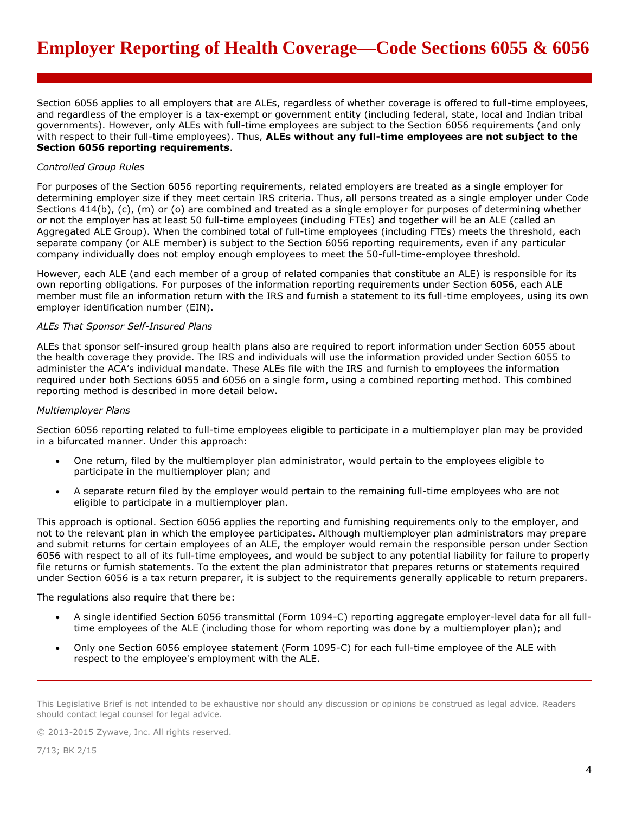Section 6056 applies to all employers that are ALEs, regardless of whether coverage is offered to full-time employees, and regardless of the employer is a tax-exempt or government entity (including federal, state, local and Indian tribal governments). However, only ALEs with full-time employees are subject to the Section 6056 requirements (and only with respect to their full-time employees). Thus, **ALEs without any full-time employees are not subject to the Section 6056 reporting requirements**.

## *Controlled Group Rules*

For purposes of the Section 6056 reporting requirements, related employers are treated as a single employer for determining employer size if they meet certain IRS criteria. Thus, all persons treated as a single employer under Code Sections 414(b), (c), (m) or (o) are combined and treated as a single employer for purposes of determining whether or not the employer has at least 50 full-time employees (including FTEs) and together will be an ALE (called an Aggregated ALE Group). When the combined total of full-time employees (including FTEs) meets the threshold, each separate company (or ALE member) is subject to the Section 6056 reporting requirements, even if any particular company individually does not employ enough employees to meet the 50-full-time-employee threshold.

However, each ALE (and each member of a group of related companies that constitute an ALE) is responsible for its own reporting obligations. For purposes of the information reporting requirements under Section 6056, each ALE member must file an information return with the IRS and furnish a statement to its full-time employees, using its own employer identification number (EIN).

## *ALEs That Sponsor Self-Insured Plans*

ALEs that sponsor self-insured group health plans also are required to report information under Section 6055 about the health coverage they provide. The IRS and individuals will use the information provided under Section 6055 to administer the ACA's individual mandate. These ALEs file with the IRS and furnish to employees the information required under both Sections 6055 and 6056 on a single form, using a combined reporting method. This combined reporting method is described in more detail below.

#### *Multiemployer Plans*

Section 6056 reporting related to full-time employees eligible to participate in a multiemployer plan may be provided in a bifurcated manner. Under this approach:

- One return, filed by the multiemployer plan administrator, would pertain to the employees eligible to participate in the multiemployer plan; and
- A separate return filed by the employer would pertain to the remaining full-time employees who are not eligible to participate in a multiemployer plan.

This approach is optional. Section 6056 applies the reporting and furnishing requirements only to the employer, and not to the relevant plan in which the employee participates. Although multiemployer plan administrators may prepare and submit returns for certain employees of an ALE, the employer would remain the responsible person under Section 6056 with respect to all of its full-time employees, and would be subject to any potential liability for failure to properly file returns or furnish statements. To the extent the plan administrator that prepares returns or statements required under Section 6056 is a tax return preparer, it is subject to the requirements generally applicable to return preparers.

The regulations also require that there be:

- A single identified Section 6056 transmittal (Form 1094-C) reporting aggregate employer-level data for all fulltime employees of the ALE (including those for whom reporting was done by a multiemployer plan); and
- Only one Section 6056 employee statement (Form 1095-C) for each full-time employee of the ALE with respect to the employee's employment with the ALE.

This Legislative Brief is not intended to be exhaustive nor should any discussion or opinions be construed as legal advice. Readers should contact legal counsel for legal advice.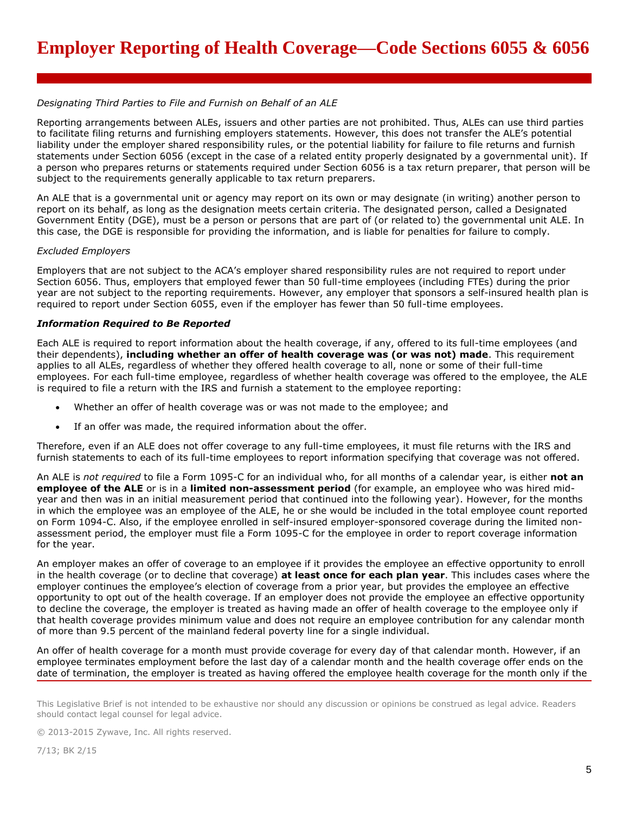# *Designating Third Parties to File and Furnish on Behalf of an ALE*

Reporting arrangements between ALEs, issuers and other parties are not prohibited. Thus, ALEs can use third parties to facilitate filing returns and furnishing employers statements. However, this does not transfer the ALE's potential liability under the employer shared responsibility rules, or the potential liability for failure to file returns and furnish statements under Section 6056 (except in the case of a related entity properly designated by a governmental unit). If a person who prepares returns or statements required under Section 6056 is a tax return preparer, that person will be subject to the requirements generally applicable to tax return preparers.

An ALE that is a governmental unit or agency may report on its own or may designate (in writing) another person to report on its behalf, as long as the designation meets certain criteria. The designated person, called a Designated Government Entity (DGE), must be a person or persons that are part of (or related to) the governmental unit ALE. In this case, the DGE is responsible for providing the information, and is liable for penalties for failure to comply.

#### *Excluded Employers*

Employers that are not subject to the ACA's employer shared responsibility rules are not required to report under Section 6056. Thus, employers that employed fewer than 50 full-time employees (including FTEs) during the prior year are not subject to the reporting requirements. However, any employer that sponsors a self-insured health plan is required to report under Section 6055, even if the employer has fewer than 50 full-time employees.

# *Information Required to Be Reported*

Each ALE is required to report information about the health coverage, if any, offered to its full-time employees (and their dependents), **including whether an offer of health coverage was (or was not) made**. This requirement applies to all ALEs, regardless of whether they offered health coverage to all, none or some of their full-time employees. For each full-time employee, regardless of whether health coverage was offered to the employee, the ALE is required to file a return with the IRS and furnish a statement to the employee reporting:

- Whether an offer of health coverage was or was not made to the employee; and
- If an offer was made, the required information about the offer.

Therefore, even if an ALE does not offer coverage to any full-time employees, it must file returns with the IRS and furnish statements to each of its full-time employees to report information specifying that coverage was not offered.

An ALE is *not required* to file a Form 1095-C for an individual who, for all months of a calendar year, is either **not an employee of the ALE** or is in a **limited non-assessment period** (for example, an employee who was hired midyear and then was in an initial measurement period that continued into the following year). However, for the months in which the employee was an employee of the ALE, he or she would be included in the total employee count reported on Form 1094-C. Also, if the employee enrolled in self-insured employer-sponsored coverage during the limited nonassessment period, the employer must file a Form 1095-C for the employee in order to report coverage information for the year.

An employer makes an offer of coverage to an employee if it provides the employee an effective opportunity to enroll in the health coverage (or to decline that coverage) **at least once for each plan year**. This includes cases where the employer continues the employee's election of coverage from a prior year, but provides the employee an effective opportunity to opt out of the health coverage. If an employer does not provide the employee an effective opportunity to decline the coverage, the employer is treated as having made an offer of health coverage to the employee only if that health coverage provides minimum value and does not require an employee contribution for any calendar month of more than 9.5 percent of the mainland federal poverty line for a single individual.

An offer of health coverage for a month must provide coverage for every day of that calendar month. However, if an employee terminates employment before the last day of a calendar month and the health coverage offer ends on the date of termination, the employer is treated as having offered the employee health coverage for the month only if the

This Legislative Brief is not intended to be exhaustive nor should any discussion or opinions be construed as legal advice. Readers should contact legal counsel for legal advice.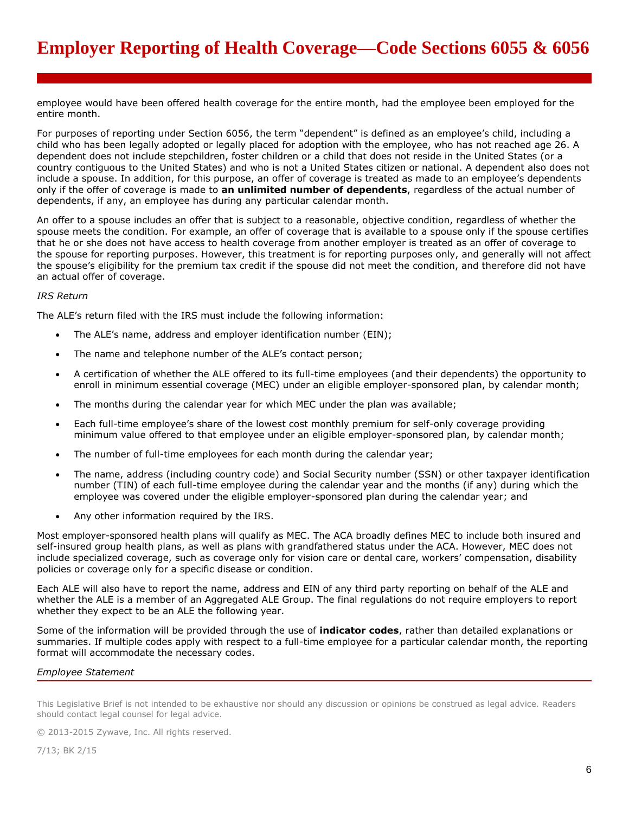employee would have been offered health coverage for the entire month, had the employee been employed for the entire month.

For purposes of reporting under Section 6056, the term "dependent" is defined as an employee's child, including a child who has been legally adopted or legally placed for adoption with the employee, who has not reached age 26. A dependent does not include stepchildren, foster children or a child that does not reside in the United States (or a country contiguous to the United States) and who is not a United States citizen or national. A dependent also does not include a spouse. In addition, for this purpose, an offer of coverage is treated as made to an employee's dependents only if the offer of coverage is made to **an unlimited number of dependents**, regardless of the actual number of dependents, if any, an employee has during any particular calendar month.

An offer to a spouse includes an offer that is subject to a reasonable, objective condition, regardless of whether the spouse meets the condition. For example, an offer of coverage that is available to a spouse only if the spouse certifies that he or she does not have access to health coverage from another employer is treated as an offer of coverage to the spouse for reporting purposes. However, this treatment is for reporting purposes only, and generally will not affect the spouse's eligibility for the premium tax credit if the spouse did not meet the condition, and therefore did not have an actual offer of coverage.

# *IRS Return*

The ALE's return filed with the IRS must include the following information:

- The ALE's name, address and employer identification number (EIN);
- The name and telephone number of the ALE's contact person;
- A certification of whether the ALE offered to its full-time employees (and their dependents) the opportunity to enroll in minimum essential coverage (MEC) under an eligible employer-sponsored plan, by calendar month;
- The months during the calendar year for which MEC under the plan was available;
- Each full-time employee's share of the lowest cost monthly premium for self-only coverage providing minimum value offered to that employee under an eligible employer-sponsored plan, by calendar month;
- The number of full-time employees for each month during the calendar year;
- The name, address (including country code) and Social Security number (SSN) or other taxpayer identification number (TIN) of each full-time employee during the calendar year and the months (if any) during which the employee was covered under the eligible employer-sponsored plan during the calendar year; and
- Any other information required by the IRS.

Most employer-sponsored health plans will qualify as MEC. The ACA broadly defines MEC to include both insured and self-insured group health plans, as well as plans with grandfathered status under the ACA. However, MEC does not include specialized coverage, such as coverage only for vision care or dental care, workers' compensation, disability policies or coverage only for a specific disease or condition.

Each ALE will also have to report the name, address and EIN of any third party reporting on behalf of the ALE and whether the ALE is a member of an Aggregated ALE Group. The final regulations do not require employers to report whether they expect to be an ALE the following year.

Some of the information will be provided through the use of **indicator codes**, rather than detailed explanations or summaries. If multiple codes apply with respect to a full-time employee for a particular calendar month, the reporting format will accommodate the necessary codes.

# *Employee Statement*

This Legislative Brief is not intended to be exhaustive nor should any discussion or opinions be construed as legal advice. Readers should contact legal counsel for legal advice.

© 2013-2015 Zywave, Inc. All rights reserved.

7/13; BK 2/15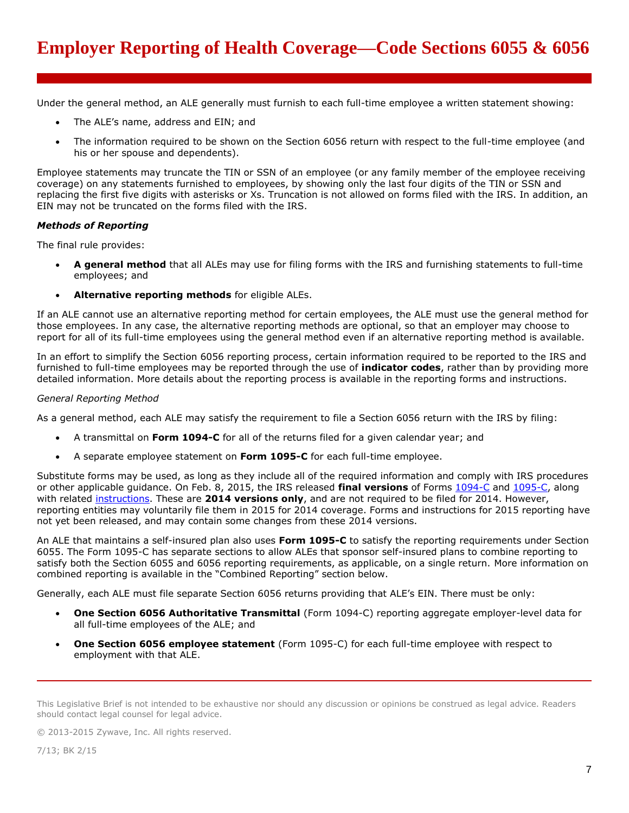Under the general method, an ALE generally must furnish to each full-time employee a written statement showing:

- The ALE's name, address and EIN; and
- The information required to be shown on the Section 6056 return with respect to the full-time employee (and his or her spouse and dependents).

Employee statements may truncate the TIN or SSN of an employee (or any family member of the employee receiving coverage) on any statements furnished to employees, by showing only the last four digits of the TIN or SSN and replacing the first five digits with asterisks or Xs. Truncation is not allowed on forms filed with the IRS. In addition, an EIN may not be truncated on the forms filed with the IRS.

# *Methods of Reporting*

The final rule provides:

- **A general method** that all ALEs may use for filing forms with the IRS and furnishing statements to full-time employees; and
- **Alternative reporting methods** for eligible ALEs.

If an ALE cannot use an alternative reporting method for certain employees, the ALE must use the general method for those employees. In any case, the alternative reporting methods are optional, so that an employer may choose to report for all of its full-time employees using the general method even if an alternative reporting method is available.

In an effort to simplify the Section 6056 reporting process, certain information required to be reported to the IRS and furnished to full-time employees may be reported through the use of **indicator codes**, rather than by providing more detailed information. More details about the reporting process is available in the reporting forms and instructions.

## *General Reporting Method*

As a general method, each ALE may satisfy the requirement to file a Section 6056 return with the IRS by filing:

- A transmittal on **Form 1094-C** for all of the returns filed for a given calendar year; and
- A separate employee statement on **Form 1095-C** for each full-time employee.

Substitute forms may be used, as long as they include all of the required information and comply with IRS procedures or other applicable guidance. On Feb. 8, 2015, the IRS released **final versions** of Forms [1094-C](http://www.irs.gov/pub/irs-pdf/f1094c.pdf) and [1095-C,](http://www.irs.gov/pub/irs-pdf/f1095c.pdf) along with related [instructions.](http://www.irs.gov/pub/irs-pdf/i109495c.pdf) These are **2014 versions only**, and are not required to be filed for 2014. However, reporting entities may voluntarily file them in 2015 for 2014 coverage. Forms and instructions for 2015 reporting have not yet been released, and may contain some changes from these 2014 versions.

An ALE that maintains a self-insured plan also uses **Form 1095-C** to satisfy the reporting requirements under Section 6055. The Form 1095-C has separate sections to allow ALEs that sponsor self-insured plans to combine reporting to satisfy both the Section 6055 and 6056 reporting requirements, as applicable, on a single return. More information on combined reporting is available in the "Combined Reporting" section below.

Generally, each ALE must file separate Section 6056 returns providing that ALE's EIN. There must be only:

- **One Section 6056 Authoritative Transmittal** (Form 1094-C) reporting aggregate employer-level data for all full-time employees of the ALE; and
- **One Section 6056 employee statement** (Form 1095-C) for each full-time employee with respect to employment with that ALE.

This Legislative Brief is not intended to be exhaustive nor should any discussion or opinions be construed as legal advice. Readers should contact legal counsel for legal advice.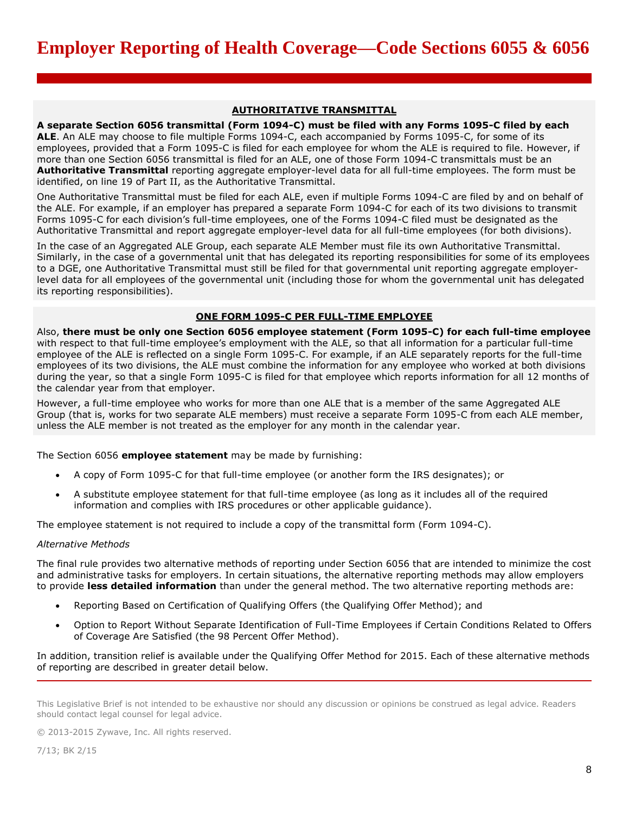#### **AUTHORITATIVE TRANSMITTAL**

**A separate Section 6056 transmittal (Form 1094-C) must be filed with any Forms 1095-C filed by each ALE**. An ALE may choose to file multiple Forms 1094-C, each accompanied by Forms 1095-C, for some of its employees, provided that a Form 1095-C is filed for each employee for whom the ALE is required to file. However, if more than one Section 6056 transmittal is filed for an ALE, one of those Form 1094-C transmittals must be an **Authoritative Transmittal** reporting aggregate employer-level data for all full-time employees. The form must be identified, on line 19 of Part II, as the Authoritative Transmittal.

One Authoritative Transmittal must be filed for each ALE, even if multiple Forms 1094-C are filed by and on behalf of the ALE. For example, if an employer has prepared a separate Form 1094-C for each of its two divisions to transmit Forms 1095-C for each division's full-time employees, one of the Forms 1094-C filed must be designated as the Authoritative Transmittal and report aggregate employer-level data for all full-time employees (for both divisions).

In the case of an Aggregated ALE Group, each separate ALE Member must file its own Authoritative Transmittal. Similarly, in the case of a governmental unit that has delegated its reporting responsibilities for some of its employees to a DGE, one Authoritative Transmittal must still be filed for that governmental unit reporting aggregate employerlevel data for all employees of the governmental unit (including those for whom the governmental unit has delegated its reporting responsibilities).

## **ONE FORM 1095-C PER FULL-TIME EMPLOYEE**

Also, **there must be only one Section 6056 employee statement (Form 1095-C) for each full-time employee** with respect to that full-time employee's employment with the ALE, so that all information for a particular full-time employee of the ALE is reflected on a single Form 1095-C. For example, if an ALE separately reports for the full-time employees of its two divisions, the ALE must combine the information for any employee who worked at both divisions during the year, so that a single Form 1095-C is filed for that employee which reports information for all 12 months of the calendar year from that employer.

However, a full-time employee who works for more than one ALE that is a member of the same Aggregated ALE Group (that is, works for two separate ALE members) must receive a separate Form 1095-C from each ALE member, unless the ALE member is not treated as the employer for any month in the calendar year.

The Section 6056 **employee statement** may be made by furnishing:

- A copy of Form 1095-C for that full-time employee (or another form the IRS designates); or
- A substitute employee statement for that full-time employee (as long as it includes all of the required information and complies with IRS procedures or other applicable guidance).

The employee statement is not required to include a copy of the transmittal form (Form 1094-C).

### *Alternative Methods*

The final rule provides two alternative methods of reporting under Section 6056 that are intended to minimize the cost and administrative tasks for employers. In certain situations, the alternative reporting methods may allow employers to provide **less detailed information** than under the general method. The two alternative reporting methods are:

- Reporting Based on Certification of Qualifying Offers (the Qualifying Offer Method); and
- Option to Report Without Separate Identification of Full-Time Employees if Certain Conditions Related to Offers of Coverage Are Satisfied (the 98 Percent Offer Method).

In addition, transition relief is available under the Qualifying Offer Method for 2015. Each of these alternative methods of reporting are described in greater detail below.

This Legislative Brief is not intended to be exhaustive nor should any discussion or opinions be construed as legal advice. Readers should contact legal counsel for legal advice.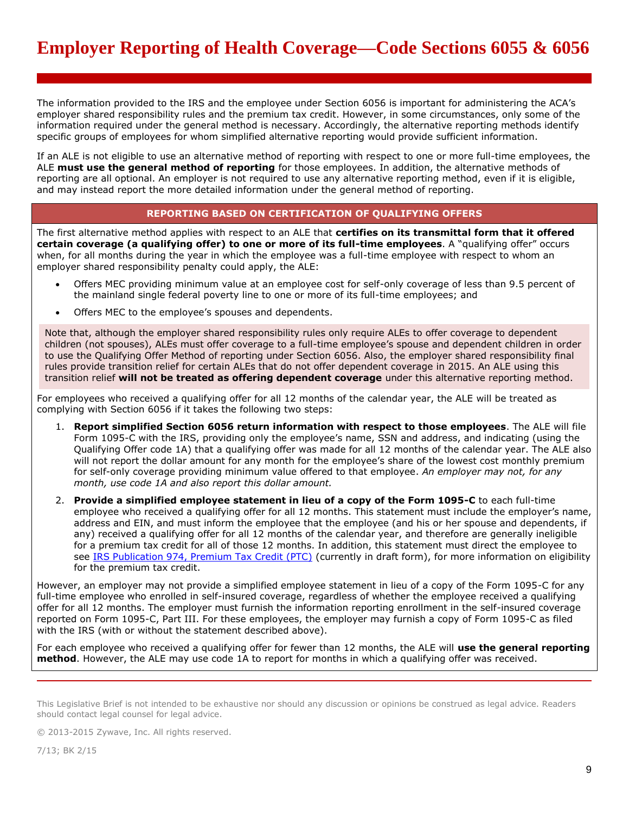The information provided to the IRS and the employee under Section 6056 is important for administering the ACA's employer shared responsibility rules and the premium tax credit. However, in some circumstances, only some of the information required under the general method is necessary. Accordingly, the alternative reporting methods identify specific groups of employees for whom simplified alternative reporting would provide sufficient information.

If an ALE is not eligible to use an alternative method of reporting with respect to one or more full-time employees, the ALE **must use the general method of reporting** for those employees. In addition, the alternative methods of reporting are all optional. An employer is not required to use any alternative reporting method, even if it is eligible, and may instead report the more detailed information under the general method of reporting.

# **REPORTING BASED ON CERTIFICATION OF QUALIFYING OFFERS**

The first alternative method applies with respect to an ALE that **certifies on its transmittal form that it offered certain coverage (a qualifying offer) to one or more of its full-time employees**. A "qualifying offer" occurs when, for all months during the year in which the employee was a full-time employee with respect to whom an employer shared responsibility penalty could apply, the ALE:

- Offers MEC providing minimum value at an employee cost for self-only coverage of less than 9.5 percent of the mainland single federal poverty line to one or more of its full-time employees; and
- Offers MEC to the employee's spouses and dependents.

Note that, although the employer shared responsibility rules only require ALEs to offer coverage to dependent children (not spouses), ALEs must offer coverage to a full-time employee's spouse and dependent children in order to use the Qualifying Offer Method of reporting under Section 6056. Also, the employer shared responsibility final rules provide transition relief for certain ALEs that do not offer dependent coverage in 2015. An ALE using this transition relief **will not be treated as offering dependent coverage** under this alternative reporting method.

For employees who received a qualifying offer for all 12 months of the calendar year, the ALE will be treated as complying with Section 6056 if it takes the following two steps:

- 1. **Report simplified Section 6056 return information with respect to those employees**. The ALE will file Form 1095-C with the IRS, providing only the employee's name, SSN and address, and indicating (using the Qualifying Offer code 1A) that a qualifying offer was made for all 12 months of the calendar year. The ALE also will not report the dollar amount for any month for the employee's share of the lowest cost monthly premium for self-only coverage providing minimum value offered to that employee. *An employer may not, for any month, use code 1A and also report this dollar amount.*
- 2. **Provide a simplified employee statement in lieu of a copy of the Form 1095-C** to each full-time employee who received a qualifying offer for all 12 months. This statement must include the employer's name, address and EIN, and must inform the employee that the employee (and his or her spouse and dependents, if any) received a qualifying offer for all 12 months of the calendar year, and therefore are generally ineligible for a premium tax credit for all of those 12 months. In addition, this statement must direct the employee to see [IRS Publication 974, Premium Tax Credit \(PTC\)](http://www.irs.gov/pub/irs-dft/p974--dft.pdf) (currently in draft form), for more information on eligibility for the premium tax credit.

However, an employer may not provide a simplified employee statement in lieu of a copy of the Form 1095-C for any full-time employee who enrolled in self-insured coverage, regardless of whether the employee received a qualifying offer for all 12 months. The employer must furnish the information reporting enrollment in the self-insured coverage reported on Form 1095-C, Part III. For these employees, the employer may furnish a copy of Form 1095-C as filed with the IRS (with or without the statement described above).

For each employee who received a qualifying offer for fewer than 12 months, the ALE will **use the general reporting method**. However, the ALE may use code 1A to report for months in which a qualifying offer was received.

This Legislative Brief is not intended to be exhaustive nor should any discussion or opinions be construed as legal advice. Readers should contact legal counsel for legal advice.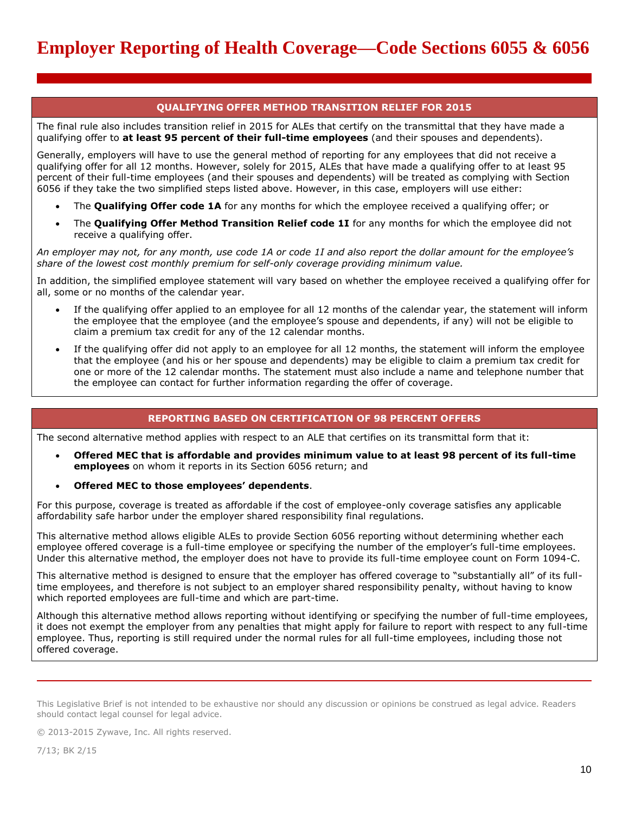# **QUALIFYING OFFER METHOD TRANSITION RELIEF FOR 2015**

The final rule also includes transition relief in 2015 for ALEs that certify on the transmittal that they have made a qualifying offer to **at least 95 percent of their full-time employees** (and their spouses and dependents).

Generally, employers will have to use the general method of reporting for any employees that did not receive a qualifying offer for all 12 months. However, solely for 2015, ALEs that have made a qualifying offer to at least 95 percent of their full-time employees (and their spouses and dependents) will be treated as complying with Section 6056 if they take the two simplified steps listed above. However, in this case, employers will use either:

- The **Qualifying Offer code 1A** for any months for which the employee received a qualifying offer; or
- The **Qualifying Offer Method Transition Relief code 1I** for any months for which the employee did not receive a qualifying offer.

*An employer may not, for any month, use code 1A or code 1I and also report the dollar amount for the employee's share of the lowest cost monthly premium for self-only coverage providing minimum value.*

In addition, the simplified employee statement will vary based on whether the employee received a qualifying offer for all, some or no months of the calendar year.

- If the qualifying offer applied to an employee for all 12 months of the calendar year, the statement will inform the employee that the employee (and the employee's spouse and dependents, if any) will not be eligible to claim a premium tax credit for any of the 12 calendar months.
- If the qualifying offer did not apply to an employee for all 12 months, the statement will inform the employee that the employee (and his or her spouse and dependents) may be eligible to claim a premium tax credit for one or more of the 12 calendar months. The statement must also include a name and telephone number that the employee can contact for further information regarding the offer of coverage.

# **REPORTING BASED ON CERTIFICATION OF 98 PERCENT OFFERS**

The second alternative method applies with respect to an ALE that certifies on its transmittal form that it:

- **Offered MEC that is affordable and provides minimum value to at least 98 percent of its full-time employees** on whom it reports in its Section 6056 return; and
- **Offered MEC to those employees' dependents**.

For this purpose, coverage is treated as affordable if the cost of employee-only coverage satisfies any applicable affordability safe harbor under the employer shared responsibility final regulations.

This alternative method allows eligible ALEs to provide Section 6056 reporting without determining whether each employee offered coverage is a full-time employee or specifying the number of the employer's full-time employees. Under this alternative method, the employer does not have to provide its full-time employee count on Form 1094-C.

This alternative method is designed to ensure that the employer has offered coverage to "substantially all" of its fulltime employees, and therefore is not subject to an employer shared responsibility penalty, without having to know which reported employees are full-time and which are part-time.

Although this alternative method allows reporting without identifying or specifying the number of full-time employees, it does not exempt the employer from any penalties that might apply for failure to report with respect to any full-time employee. Thus, reporting is still required under the normal rules for all full-time employees, including those not offered coverage.

This Legislative Brief is not intended to be exhaustive nor should any discussion or opinions be construed as legal advice. Readers should contact legal counsel for legal advice.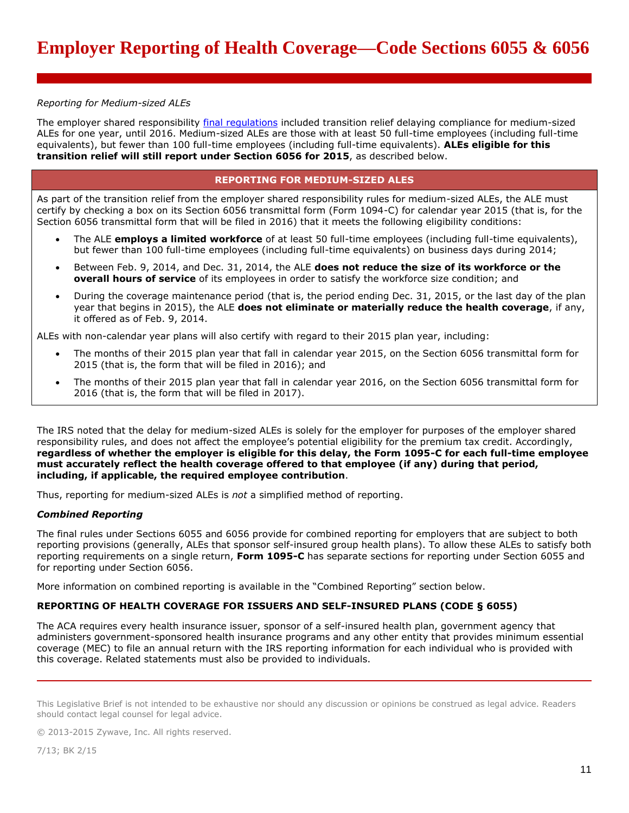# *Reporting for Medium-sized ALEs*

The employer shared responsibility [final regulations](https://www.federalregister.gov/articles/2014/02/12/2014-03082/shared-responsibility-for-employers-regarding-health-coverage) included transition relief delaying compliance for medium-sized ALEs for one year, until 2016. Medium-sized ALEs are those with at least 50 full-time employees (including full-time equivalents), but fewer than 100 full-time employees (including full-time equivalents). **ALEs eligible for this transition relief will still report under Section 6056 for 2015**, as described below.

# **REPORTING FOR MEDIUM-SIZED ALES**

As part of the transition relief from the employer shared responsibility rules for medium-sized ALEs, the ALE must certify by checking a box on its Section 6056 transmittal form (Form 1094-C) for calendar year 2015 (that is, for the Section 6056 transmittal form that will be filed in 2016) that it meets the following eligibility conditions:

- The ALE **employs a limited workforce** of at least 50 full-time employees (including full-time equivalents), but fewer than 100 full-time employees (including full-time equivalents) on business days during 2014;
- Between Feb. 9, 2014, and Dec. 31, 2014, the ALE **does not reduce the size of its workforce or the overall hours of service** of its employees in order to satisfy the workforce size condition; and
- During the coverage maintenance period (that is, the period ending Dec. 31, 2015, or the last day of the plan year that begins in 2015), the ALE **does not eliminate or materially reduce the health coverage**, if any, it offered as of Feb. 9, 2014.

ALEs with non-calendar year plans will also certify with regard to their 2015 plan year, including:

- The months of their 2015 plan year that fall in calendar year 2015, on the Section 6056 transmittal form for 2015 (that is, the form that will be filed in 2016); and
- The months of their 2015 plan year that fall in calendar year 2016, on the Section 6056 transmittal form for 2016 (that is, the form that will be filed in 2017).

The IRS noted that the delay for medium-sized ALEs is solely for the employer for purposes of the employer shared responsibility rules, and does not affect the employee's potential eligibility for the premium tax credit. Accordingly, **regardless of whether the employer is eligible for this delay, the Form 1095-C for each full-time employee must accurately reflect the health coverage offered to that employee (if any) during that period, including, if applicable, the required employee contribution**.

Thus, reporting for medium-sized ALEs is *not* a simplified method of reporting.

# *Combined Reporting*

The final rules under Sections 6055 and 6056 provide for combined reporting for employers that are subject to both reporting provisions (generally, ALEs that sponsor self-insured group health plans). To allow these ALEs to satisfy both reporting requirements on a single return, **Form 1095-C** has separate sections for reporting under Section 6055 and for reporting under Section 6056.

More information on combined reporting is available in the "Combined Reporting" section below.

# **REPORTING OF HEALTH COVERAGE FOR ISSUERS AND SELF-INSURED PLANS (CODE § 6055)**

The ACA requires every health insurance issuer, sponsor of a self-insured health plan, government agency that administers government-sponsored health insurance programs and any other entity that provides minimum essential coverage (MEC) to file an annual return with the IRS reporting information for each individual who is provided with this coverage. Related statements must also be provided to individuals.

This Legislative Brief is not intended to be exhaustive nor should any discussion or opinions be construed as legal advice. Readers should contact legal counsel for legal advice.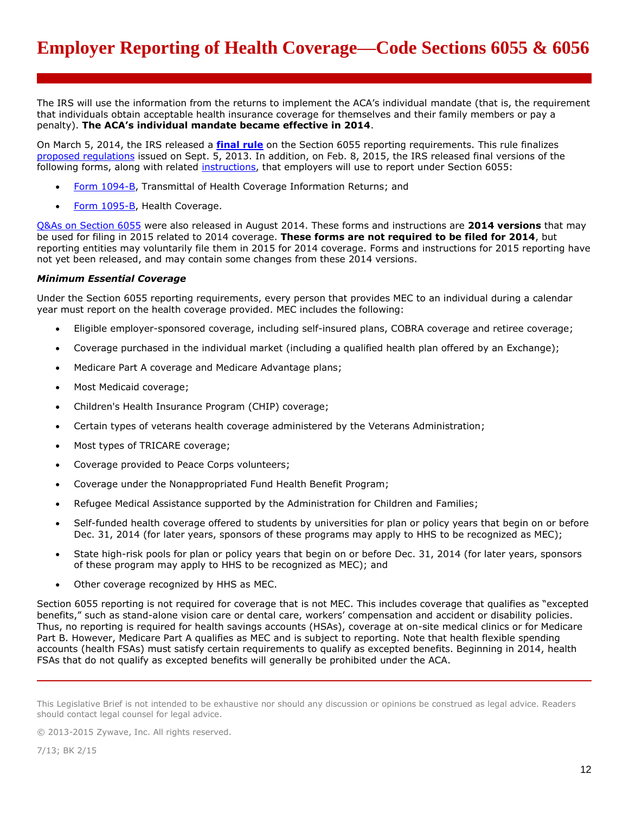The IRS will use the information from the returns to implement the ACA's individual mandate (that is, the requirement that individuals obtain acceptable health insurance coverage for themselves and their family members or pay a penalty). **The ACA's individual mandate became effective in 2014**.

On March 5, 2014, the IRS released a **[final rule](https://www.federalregister.gov/articles/2014/03/10/2014-05051/information-reporting-of-minimum-essential-coverage)** on the Section 6055 reporting requirements. This rule finalizes proposed requiations issued on Sept. 5, 2013. In addition, on Feb. 8, 2015, the IRS released final versions of the following forms, along with related [instructions,](http://www.irs.gov/pub/irs-pdf/i109495b.pdf) that employers will use to report under Section 6055:

- [Form 1094-B,](http://www.irs.gov/pub/irs-pdf/f1094b.pdf) Transmittal of Health Coverage Information Returns; and
- [Form 1095-B,](http://www.irs.gov/pub/irs-pdf/f1095b.pdf) Health Coverage.

[Q&As on Section 6055](http://www.irs.gov/uac/Questions-and-Answers-on-Information-Reporting-by-Health-Coverage-Providers-Section-6055) were also released in August 2014. These forms and instructions are **2014 versions** that may be used for filing in 2015 related to 2014 coverage. **These forms are not required to be filed for 2014**, but reporting entities may voluntarily file them in 2015 for 2014 coverage. Forms and instructions for 2015 reporting have not yet been released, and may contain some changes from these 2014 versions.

## *Minimum Essential Coverage*

Under the Section 6055 reporting requirements, every person that provides MEC to an individual during a calendar year must report on the health coverage provided. MEC includes the following:

- Eligible employer-sponsored coverage, including self-insured plans, COBRA coverage and retiree coverage;
- Coverage purchased in the individual market (including a qualified health plan offered by an Exchange);
- Medicare Part A coverage and Medicare Advantage plans;
- Most Medicaid coverage;
- Children's Health Insurance Program (CHIP) coverage;
- Certain types of veterans health coverage administered by the Veterans Administration;
- Most types of TRICARE coverage;
- Coverage provided to Peace Corps volunteers;
- Coverage under the Nonappropriated Fund Health Benefit Program;
- Refugee Medical Assistance supported by the Administration for Children and Families;
- Self-funded health coverage offered to students by universities for plan or policy years that begin on or before Dec. 31, 2014 (for later years, sponsors of these programs may apply to HHS to be recognized as MEC);
- State high-risk pools for plan or policy years that begin on or before Dec. 31, 2014 (for later years, sponsors of these program may apply to HHS to be recognized as MEC); and
- Other coverage recognized by HHS as MEC.

Section 6055 reporting is not required for coverage that is not MEC. This includes coverage that qualifies as "excepted benefits," such as stand-alone vision care or dental care, workers' compensation and accident or disability policies. Thus, no reporting is required for health savings accounts (HSAs), coverage at on-site medical clinics or for Medicare Part B. However, Medicare Part A qualifies as MEC and is subject to reporting. Note that health flexible spending accounts (health FSAs) must satisfy certain requirements to qualify as excepted benefits. Beginning in 2014, health FSAs that do not qualify as excepted benefits will generally be prohibited under the ACA.

This Legislative Brief is not intended to be exhaustive nor should any discussion or opinions be construed as legal advice. Readers should contact legal counsel for legal advice.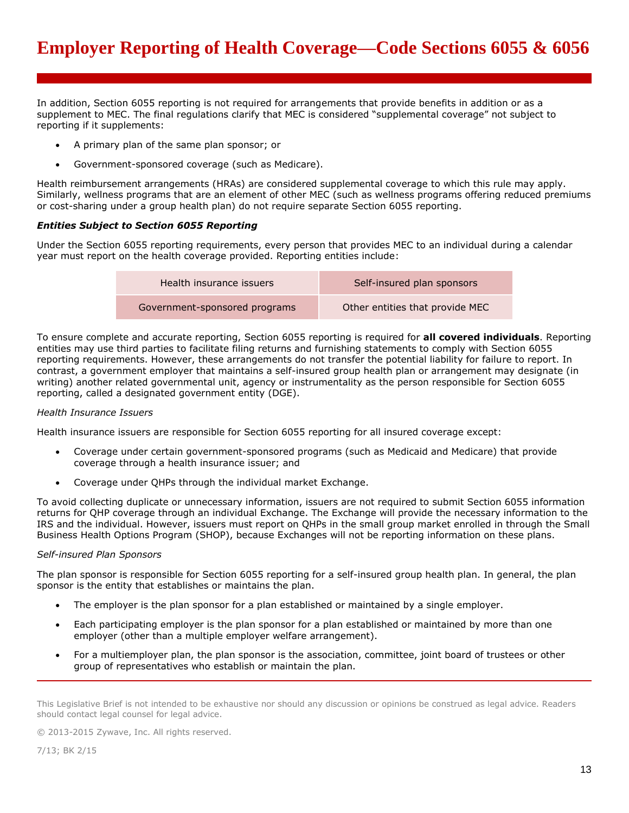In addition, Section 6055 reporting is not required for arrangements that provide benefits in addition or as a supplement to MEC. The final regulations clarify that MEC is considered "supplemental coverage" not subject to reporting if it supplements:

- A primary plan of the same plan sponsor; or
- Government-sponsored coverage (such as Medicare).

Health reimbursement arrangements (HRAs) are considered supplemental coverage to which this rule may apply. Similarly, wellness programs that are an element of other MEC (such as wellness programs offering reduced premiums or cost-sharing under a group health plan) do not require separate Section 6055 reporting.

# *Entities Subject to Section 6055 Reporting*

Under the Section 6055 reporting requirements, every person that provides MEC to an individual during a calendar year must report on the health coverage provided. Reporting entities include:

| Health insurance issuers      | Self-insured plan sponsors      |  |
|-------------------------------|---------------------------------|--|
| Government-sponsored programs | Other entities that provide MEC |  |

To ensure complete and accurate reporting, Section 6055 reporting is required for **all covered individuals**. Reporting entities may use third parties to facilitate filing returns and furnishing statements to comply with Section 6055 reporting requirements. However, these arrangements do not transfer the potential liability for failure to report. In contrast, a government employer that maintains a self-insured group health plan or arrangement may designate (in writing) another related governmental unit, agency or instrumentality as the person responsible for Section 6055 reporting, called a designated government entity (DGE).

## *Health Insurance Issuers*

Health insurance issuers are responsible for Section 6055 reporting for all insured coverage except:

- Coverage under certain government-sponsored programs (such as Medicaid and Medicare) that provide coverage through a health insurance issuer; and
- Coverage under QHPs through the individual market Exchange.

To avoid collecting duplicate or unnecessary information, issuers are not required to submit Section 6055 information returns for QHP coverage through an individual Exchange. The Exchange will provide the necessary information to the IRS and the individual. However, issuers must report on QHPs in the small group market enrolled in through the Small Business Health Options Program (SHOP), because Exchanges will not be reporting information on these plans.

#### *Self-insured Plan Sponsors*

The plan sponsor is responsible for Section 6055 reporting for a self-insured group health plan. In general, the plan sponsor is the entity that establishes or maintains the plan.

- The employer is the plan sponsor for a plan established or maintained by a single employer.
- Each participating employer is the plan sponsor for a plan established or maintained by more than one employer (other than a multiple employer welfare arrangement).
- For a multiemployer plan, the plan sponsor is the association, committee, joint board of trustees or other group of representatives who establish or maintain the plan.

This Legislative Brief is not intended to be exhaustive nor should any discussion or opinions be construed as legal advice. Readers should contact legal counsel for legal advice.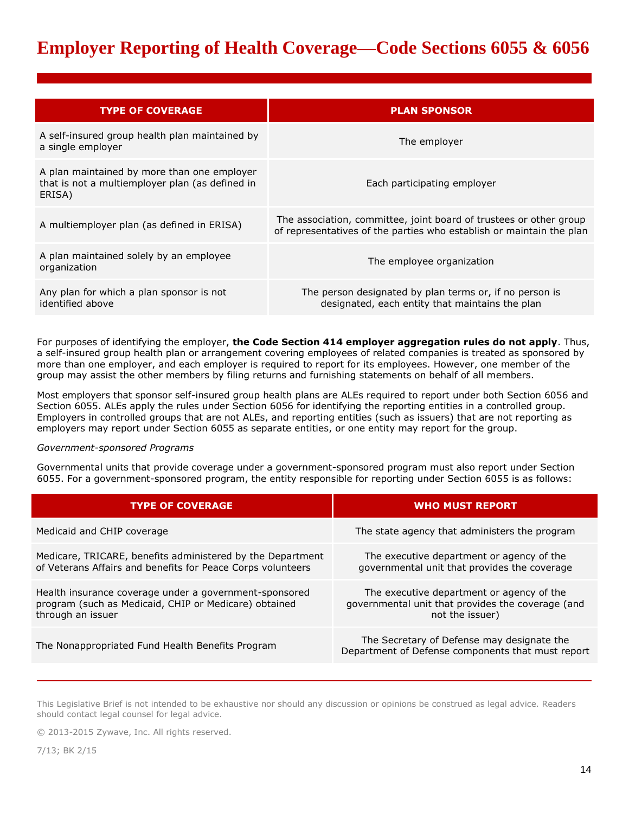# **Employer Reporting of Health Coverage—Code Sections 6055 & 6056**

| <b>TYPE OF COVERAGE</b>                                                                                  | <b>PLAN SPONSOR</b>                                                                                                                        |
|----------------------------------------------------------------------------------------------------------|--------------------------------------------------------------------------------------------------------------------------------------------|
| A self-insured group health plan maintained by<br>a single employer                                      | The employer                                                                                                                               |
| A plan maintained by more than one employer<br>that is not a multiemployer plan (as defined in<br>ERISA) | Each participating employer                                                                                                                |
| A multiemployer plan (as defined in ERISA)                                                               | The association, committee, joint board of trustees or other group<br>of representatives of the parties who establish or maintain the plan |
| A plan maintained solely by an employee<br>organization                                                  | The employee organization                                                                                                                  |
| Any plan for which a plan sponsor is not<br>identified above                                             | The person designated by plan terms or, if no person is<br>designated, each entity that maintains the plan                                 |

For purposes of identifying the employer, **the Code Section 414 employer aggregation rules do not apply**. Thus, a self-insured group health plan or arrangement covering employees of related companies is treated as sponsored by more than one employer, and each employer is required to report for its employees. However, one member of the group may assist the other members by filing returns and furnishing statements on behalf of all members.

Most employers that sponsor self-insured group health plans are ALEs required to report under both Section 6056 and Section 6055. ALEs apply the rules under Section 6056 for identifying the reporting entities in a controlled group. Employers in controlled groups that are not ALEs, and reporting entities (such as issuers) that are not reporting as employers may report under Section 6055 as separate entities, or one entity may report for the group.

#### *Government-sponsored Programs*

Governmental units that provide coverage under a government-sponsored program must also report under Section 6055. For a government-sponsored program, the entity responsible for reporting under Section 6055 is as follows:

| <b>TYPE OF COVERAGE</b>                                                                                                              | <b>WHO MUST REPORT</b>                                                                                            |
|--------------------------------------------------------------------------------------------------------------------------------------|-------------------------------------------------------------------------------------------------------------------|
| Medicaid and CHIP coverage                                                                                                           | The state agency that administers the program                                                                     |
| Medicare, TRICARE, benefits administered by the Department<br>of Veterans Affairs and benefits for Peace Corps volunteers            | The executive department or agency of the<br>governmental unit that provides the coverage                         |
| Health insurance coverage under a government-sponsored<br>program (such as Medicaid, CHIP or Medicare) obtained<br>through an issuer | The executive department or agency of the<br>governmental unit that provides the coverage (and<br>not the issuer) |
| The Nonappropriated Fund Health Benefits Program                                                                                     | The Secretary of Defense may designate the<br>Department of Defense components that must report                   |

This Legislative Brief is not intended to be exhaustive nor should any discussion or opinions be construed as legal advice. Readers should contact legal counsel for legal advice.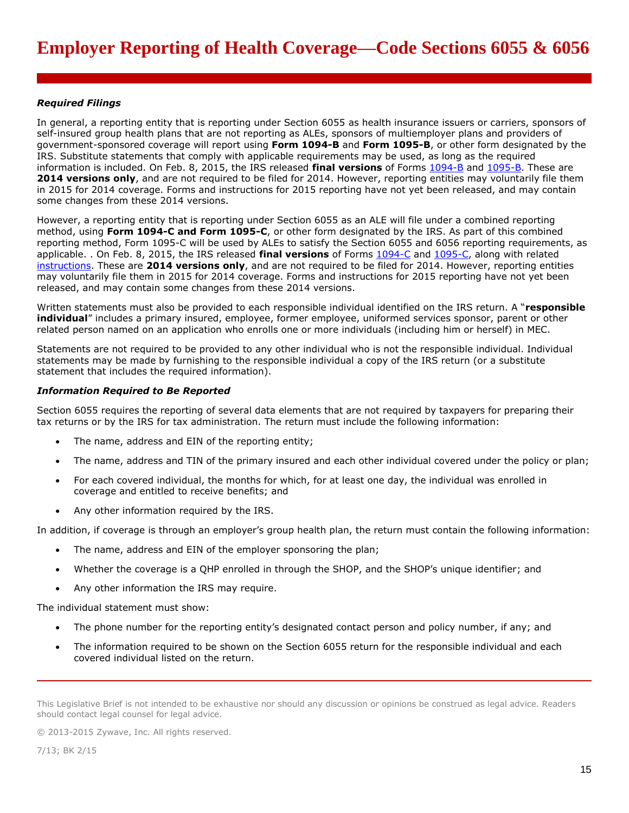## *Required Filings*

In general, a reporting entity that is reporting under Section 6055 as health insurance issuers or carriers, sponsors of self-insured group health plans that are not reporting as ALEs, sponsors of multiemployer plans and providers of government-sponsored coverage will report using **Form 1094-B** and **Form 1095-B**, or other form designated by the IRS. Substitute statements that comply with applicable requirements may be used, as long as the required information is included. On Feb. 8, 2015, the IRS released **final versions** of Forms [1094-B](http://www.irs.gov/pub/irs-pdf/f1094b.pdf) and [1095-B.](http://www.irs.gov/pub/irs-pdf/f1095b.pdf) These are **2014 versions only**, and are not required to be filed for 2014. However, reporting entities may voluntarily file them in 2015 for 2014 coverage. Forms and instructions for 2015 reporting have not yet been released, and may contain some changes from these 2014 versions.

However, a reporting entity that is reporting under Section 6055 as an ALE will file under a combined reporting method, using **Form 1094-C and Form 1095-C**, or other form designated by the IRS. As part of this combined reporting method, Form 1095-C will be used by ALEs to satisfy the Section 6055 and 6056 reporting requirements, as applicable. . On Feb. 8, 2015, the IRS released **final versions** of Forms [1094-C](http://www.irs.gov/pub/irs-pdf/f1094c.pdf) and [1095-C,](http://www.irs.gov/pub/irs-pdf/f1095c.pdf) along with related [instructions.](http://www.irs.gov/pub/irs-pdf/i109495c.pdf) These are **2014 versions only**, and are not required to be filed for 2014. However, reporting entities may voluntarily file them in 2015 for 2014 coverage. Forms and instructions for 2015 reporting have not yet been released, and may contain some changes from these 2014 versions.

Written statements must also be provided to each responsible individual identified on the IRS return. A "**responsible individual**" includes a primary insured, employee, former employee, uniformed services sponsor, parent or other related person named on an application who enrolls one or more individuals (including him or herself) in MEC.

Statements are not required to be provided to any other individual who is not the responsible individual. Individual statements may be made by furnishing to the responsible individual a copy of the IRS return (or a substitute statement that includes the required information).

## *Information Required to Be Reported*

Section 6055 requires the reporting of several data elements that are not required by taxpayers for preparing their tax returns or by the IRS for tax administration. The return must include the following information:

- The name, address and EIN of the reporting entity;
- The name, address and TIN of the primary insured and each other individual covered under the policy or plan;
- For each covered individual, the months for which, for at least one day, the individual was enrolled in coverage and entitled to receive benefits; and
- Any other information required by the IRS.

In addition, if coverage is through an employer's group health plan, the return must contain the following information:

- The name, address and EIN of the employer sponsoring the plan;
- Whether the coverage is a QHP enrolled in through the SHOP, and the SHOP's unique identifier; and
- Any other information the IRS may require.

The individual statement must show:

- The phone number for the reporting entity's designated contact person and policy number, if any; and
- The information required to be shown on the Section 6055 return for the responsible individual and each covered individual listed on the return.

This Legislative Brief is not intended to be exhaustive nor should any discussion or opinions be construed as legal advice. Readers should contact legal counsel for legal advice.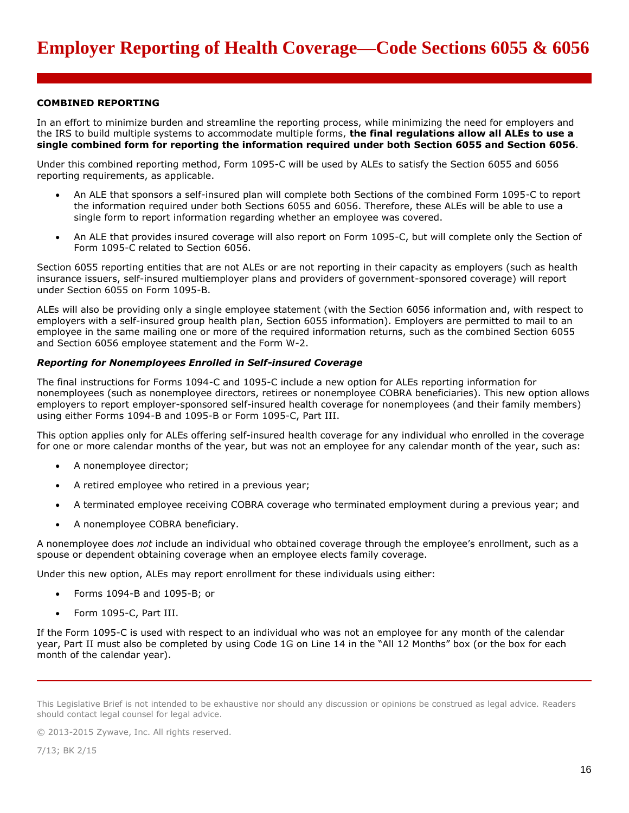# **COMBINED REPORTING**

In an effort to minimize burden and streamline the reporting process, while minimizing the need for employers and the IRS to build multiple systems to accommodate multiple forms, **the final regulations allow all ALEs to use a single combined form for reporting the information required under both Section 6055 and Section 6056**.

Under this combined reporting method, Form 1095-C will be used by ALEs to satisfy the Section 6055 and 6056 reporting requirements, as applicable.

- An ALE that sponsors a self-insured plan will complete both Sections of the combined Form 1095-C to report the information required under both Sections 6055 and 6056. Therefore, these ALEs will be able to use a single form to report information regarding whether an employee was covered.
- An ALE that provides insured coverage will also report on Form 1095-C, but will complete only the Section of Form 1095-C related to Section 6056.

Section 6055 reporting entities that are not ALEs or are not reporting in their capacity as employers (such as health insurance issuers, self-insured multiemployer plans and providers of government-sponsored coverage) will report under Section 6055 on Form 1095-B.

ALEs will also be providing only a single employee statement (with the Section 6056 information and, with respect to employers with a self-insured group health plan, Section 6055 information). Employers are permitted to mail to an employee in the same mailing one or more of the required information returns, such as the combined Section 6055 and Section 6056 employee statement and the Form W-2.

#### *Reporting for Nonemployees Enrolled in Self-insured Coverage*

The final instructions for Forms 1094-C and 1095-C include a new option for ALEs reporting information for nonemployees (such as nonemployee directors, retirees or nonemployee COBRA beneficiaries). This new option allows employers to report employer-sponsored self-insured health coverage for nonemployees (and their family members) using either Forms 1094-B and 1095-B or Form 1095-C, Part III.

This option applies only for ALEs offering self-insured health coverage for any individual who enrolled in the coverage for one or more calendar months of the year, but was not an employee for any calendar month of the year, such as:

- A nonemployee director;
- A retired employee who retired in a previous year;
- A terminated employee receiving COBRA coverage who terminated employment during a previous year; and
- A nonemployee COBRA beneficiary.

A nonemployee does *not* include an individual who obtained coverage through the employee's enrollment, such as a spouse or dependent obtaining coverage when an employee elects family coverage.

Under this new option, ALEs may report enrollment for these individuals using either:

- Forms 1094-B and 1095-B; or
- Form 1095-C, Part III.

If the Form 1095-C is used with respect to an individual who was not an employee for any month of the calendar year, Part II must also be completed by using Code 1G on Line 14 in the "All 12 Months" box (or the box for each month of the calendar year).

This Legislative Brief is not intended to be exhaustive nor should any discussion or opinions be construed as legal advice. Readers should contact legal counsel for legal advice.